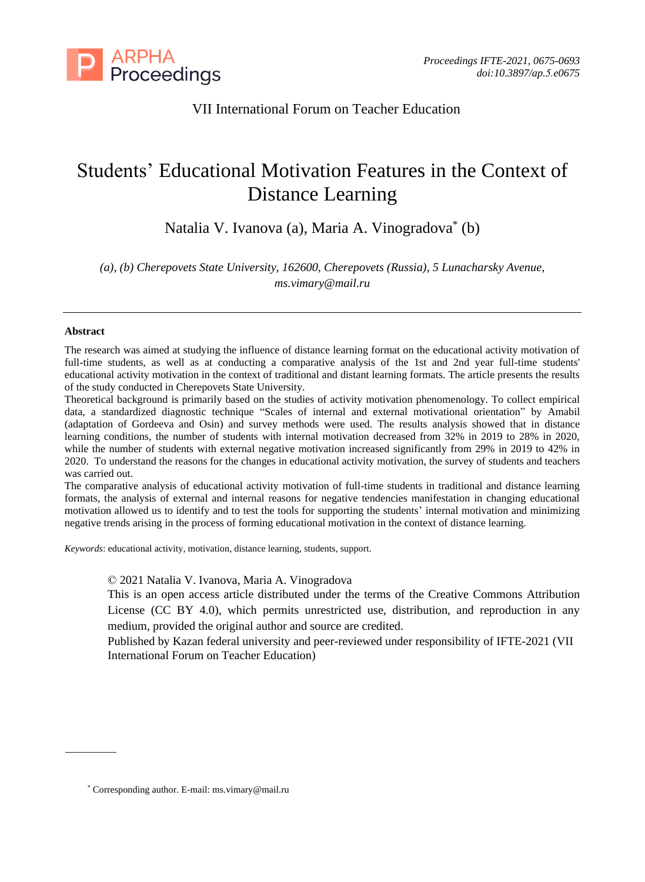

# VII International Forum on Teacher Education

# Students' Educational Motivation Features in the Context of Distance Learning

Natalia V. Ivanova (a), Maria A. Vinogradova\* (b)

*(a), (b) Cherepovets State University, 162600, Cherepovets (Russia), 5 Lunacharsky Avenue, ms.vimary@mail.ru*

#### **Abstract**

The research was aimed at studying the influence of distance learning format on the educational activity motivation of full-time students, as well as at conducting a comparative analysis of the 1st and 2nd year full-time students' educational activity motivation in the context of traditional and distant learning formats. The article presents the results of the study conducted in Cherepovets State University.

Theoretical background is primarily based on the studies of activity motivation phenomenology. To collect empirical data, a standardized diagnostic technique "Scales of internal and external motivational orientation" by Amabil (adaptation of Gordeeva and Osin) and survey methods were used. The results analysis showed that in distance learning conditions, the number of students with internal motivation decreased from 32% in 2019 to 28% in 2020, while the number of students with external negative motivation increased significantly from 29% in 2019 to 42% in 2020. To understand the reasons for the changes in educational activity motivation, the survey of students and teachers was carried out.

The comparative analysis of educational activity motivation of full-time students in traditional and distance learning formats, the analysis of external and internal reasons for negative tendencies manifestation in changing educational motivation allowed us to identify and to test the tools for supporting the students' internal motivation and minimizing negative trends arising in the process of forming educational motivation in the context of distance learning.

*Keywords*: educational activity, motivation, distance learning, students, support.

© 2021 Natalia V. Ivanova, Maria A. Vinogradova

This is an open access article distributed under the terms of the Creative Commons Attribution License (CC BY 4.0), which permits unrestricted use, distribution, and reproduction in any medium, provided the original author and source are credited.

Published by Kazan federal university and peer-reviewed under responsibility of IFTE-2021 (VII International Forum on Teacher Education)

<sup>\*</sup> Corresponding author. E-mail: ms.vimary@mail.ru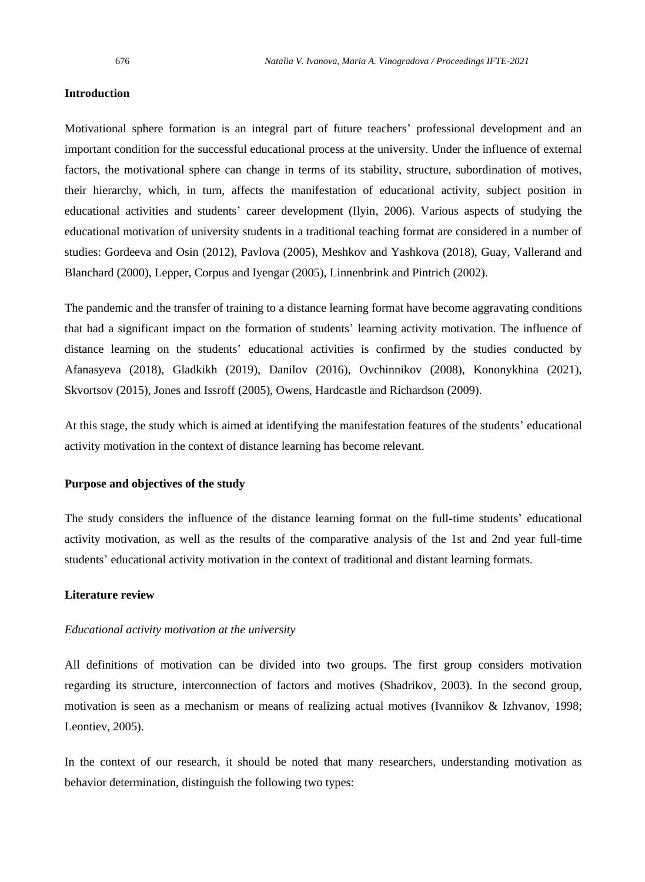#### **Introduction**

Motivational sphere formation is an integral part of future teachers' professional development and an important condition for the successful educational process at the university. Under the influence of external factors, the motivational sphere can change in terms of its stability, structure, subordination of motives, their hierarchy, which, in turn, affects the manifestation of educational activity, subject position in educational activities and students' career development (Ilyin, 2006). Various aspects of studying the educational motivation of university students in a traditional teaching format are considered in a number of studies: Gordeeva and Osin (2012), Pavlova (2005), Meshkov and Yashkova (2018), Guay, Vallerand and Blanchard (2000), Lepper, Corpus and Iyengar (2005), Linnenbrink and Pintrich (2002).

The pandemic and the transfer of training to a distance learning format have become aggravating conditions that had a significant impact on the formation of students' learning activity motivation. The influence of distance learning on the students' educational activities is confirmed by the studies conducted by Afanasyeva (2018), Gladkikh (2019), Danilov (2016), Ovchinnikov (2008), Kononykhina (2021), Skvortsov (2015), Jones and Issroff (2005), Owens, Hardcastle and Richardson (2009).

At this stage, the study which is aimed at identifying the manifestation features of the students' educational activity motivation in the context of distance learning has become relevant.

#### **Purpose and objectives of the study**

The study considers the influence of the distance learning format on the full-time students' educational activity motivation, as well as the results of the comparative analysis of the 1st and 2nd year full-time students' educational activity motivation in the context of traditional and distant learning formats.

### **Literature review**

#### *Educational activity motivation at the university*

All definitions of motivation can be divided into two groups. The first group considers motivation regarding its structure, interconnection of factors and motives (Shadrikov, 2003). In the second group, motivation is seen as a mechanism or means of realizing actual motives (Ivannikov & Izhvanov, 1998; Leontiev, 2005).

In the context of our research, it should be noted that many researchers, understanding motivation as behavior determination, distinguish the following two types: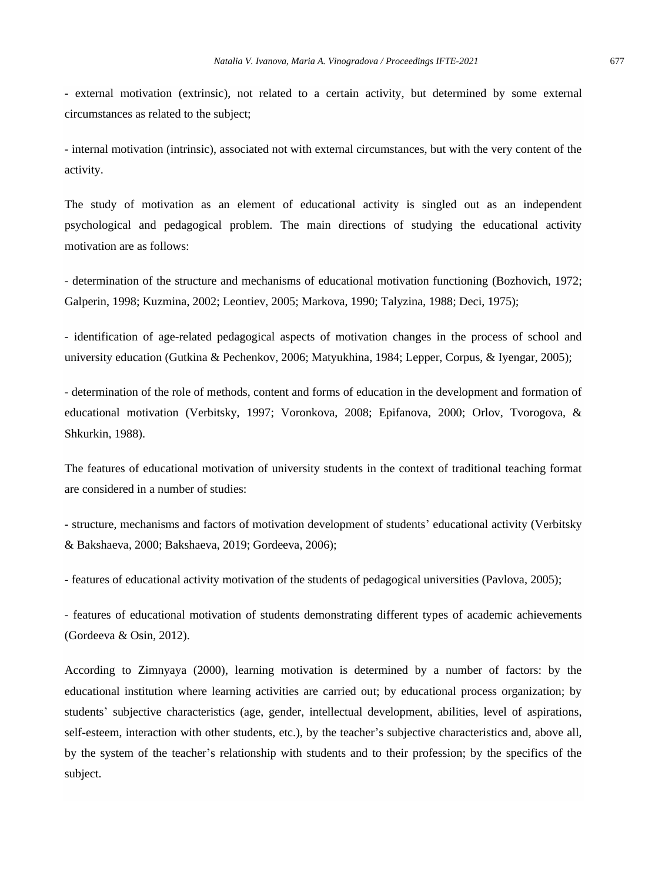- external motivation (extrinsic), not related to a certain activity, but determined by some external circumstances as related to the subject;

- internal motivation (intrinsic), associated not with external circumstances, but with the very content of the activity.

The study of motivation as an element of educational activity is singled out as an independent psychological and pedagogical problem. The main directions of studying the educational activity motivation are as follows:

- determination of the structure and mechanisms of educational motivation functioning (Bozhovich, 1972; Galperin, 1998; Kuzmina, 2002; Leontiev, 2005; Markova, 1990; Talyzina, 1988; Deci, 1975);

- identification of age-related pedagogical aspects of motivation changes in the process of school and university education (Gutkina & Pechenkov, 2006; Matyukhina, 1984; Lepper, Corpus, & Iyengar, 2005);

- determination of the role of methods, content and forms of education in the development and formation of educational motivation (Verbitsky, 1997; Voronkova, 2008; Epifanova, 2000; Orlov, Tvorogova, & Shkurkin, 1988).

The features of educational motivation of university students in the context of traditional teaching format are considered in a number of studies:

- structure, mechanisms and factors of motivation development of students' educational activity (Verbitsky & Bakshaeva, 2000; Bakshaeva, 2019; Gordeeva, 2006);

- features of educational activity motivation of the students of pedagogical universities (Pavlova, 2005);

- features of educational motivation of students demonstrating different types of academic achievements (Gordeeva & Osin, 2012).

According to Zimnyaya (2000), learning motivation is determined by a number of factors: by the educational institution where learning activities are carried out; by educational process organization; by students' subjective characteristics (age, gender, intellectual development, abilities, level of aspirations, self-esteem, interaction with other students, etc.), by the teacher's subjective characteristics and, above all, by the system of the teacher's relationship with students and to their profession; by the specifics of the subject.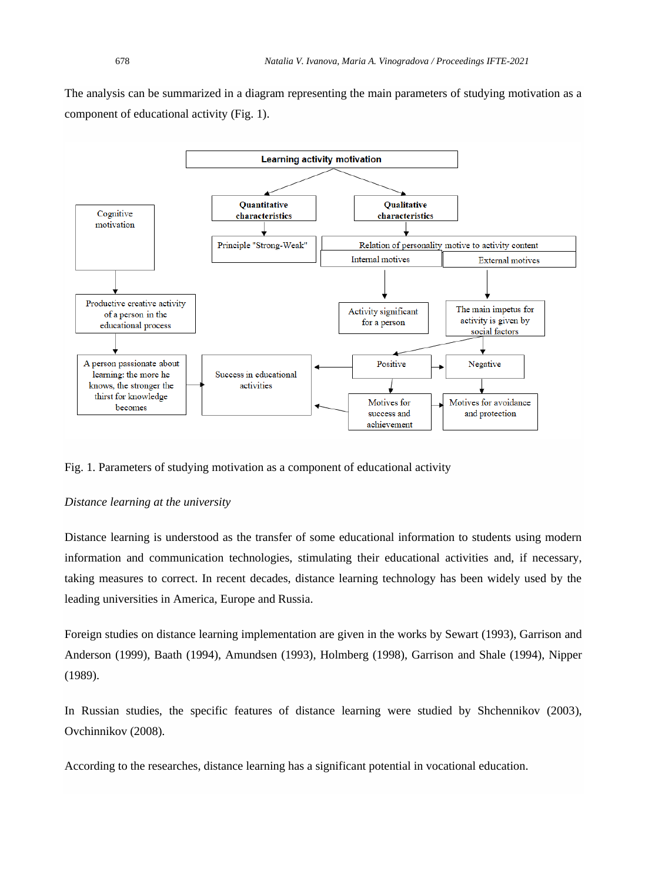The analysis can be summarized in a diagram representing the main parameters of studying motivation as a component of educational activity (Fig. 1).



Fig. 1. Parameters of studying motivation as a component of educational activity

# *Distance learning at the university*

Distance learning is understood as the transfer of some educational information to students using modern information and communication technologies, stimulating their educational activities and, if necessary, taking measures to correct. In recent decades, distance learning technology has been widely used by the leading universities in America, Europe and Russia.

Foreign studies on distance learning implementation are given in the works by Sewart (1993), Garrison and Anderson (1999), Baath (1994), Amundsen (1993), Holmberg (1998), Garrison and Shale (1994), Nipper (1989).

In Russian studies, the specific features of distance learning were studied by Shchennikov (2003), Ovchinnikov (2008).

According to the researches, distance learning has a significant potential in vocational education.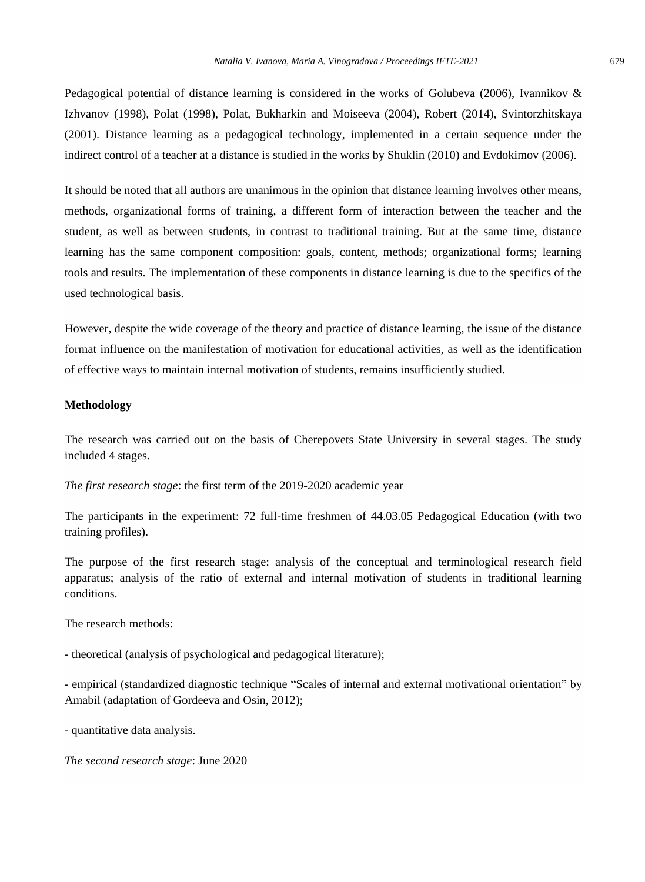Pedagogical potential of distance learning is considered in the works of Golubeva (2006), Ivannikov & Izhvanov (1998), Polat (1998), Polat, Bukharkin and Moiseeva (2004), Robert (2014), Svintorzhitskaya (2001). Distance learning as a pedagogical technology, implemented in a certain sequence under the indirect control of a teacher at a distance is studied in the works by Shuklin (2010) and Evdokimov (2006).

It should be noted that all authors are unanimous in the opinion that distance learning involves other means, methods, organizational forms of training, a different form of interaction between the teacher and the student, as well as between students, in contrast to traditional training. But at the same time, distance learning has the same component composition: goals, content, methods; organizational forms; learning tools and results. The implementation of these components in distance learning is due to the specifics of the used technological basis.

However, despite the wide coverage of the theory and practice of distance learning, the issue of the distance format influence on the manifestation of motivation for educational activities, as well as the identification of effective ways to maintain internal motivation of students, remains insufficiently studied.

#### **Methodology**

The research was carried out on the basis of Cherepovets State University in several stages. The study included 4 stages.

*The first research stage*: the first term of the 2019-2020 academic year

The participants in the experiment: 72 full-time freshmen of 44.03.05 Pedagogical Education (with two training profiles).

The purpose of the first research stage: analysis of the conceptual and terminological research field apparatus; analysis of the ratio of external and internal motivation of students in traditional learning conditions.

The research methods:

- theoretical (analysis of psychological and pedagogical literature);

- empirical (standardized diagnostic technique "Scales of internal and external motivational orientation" by Amabil (adaptation of Gordeeva and Osin, 2012);

- quantitative data analysis.

*The second research stage*: June 2020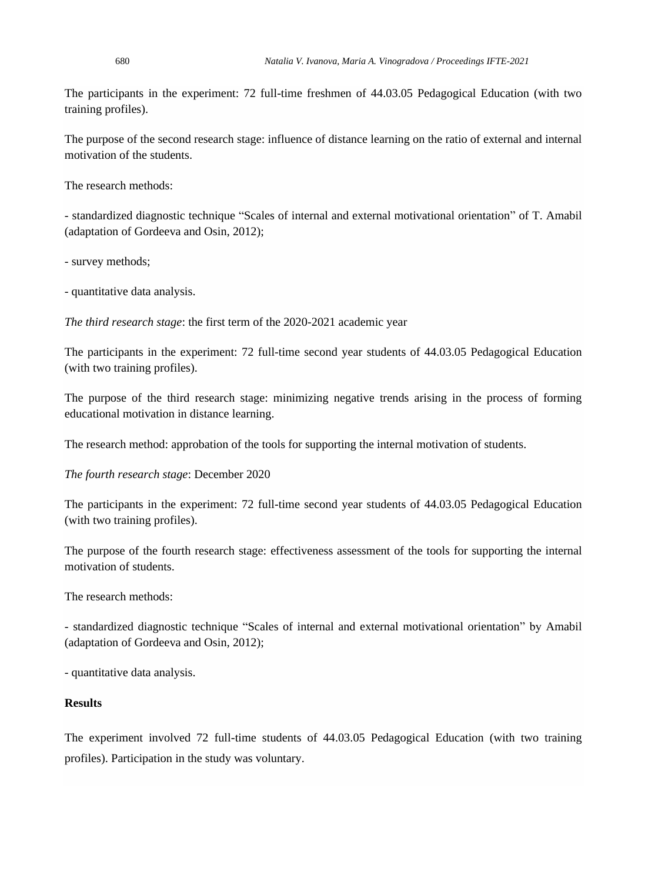The participants in the experiment: 72 full-time freshmen of 44.03.05 Pedagogical Education (with two training profiles).

The purpose of the second research stage: influence of distance learning on the ratio of external and internal motivation of the students.

The research methods:

- standardized diagnostic technique "Scales of internal and external motivational orientation" of T. Amabil (adaptation of Gordeeva and Osin, 2012);

- survey methods;

- quantitative data analysis.

*The third research stage*: the first term of the 2020-2021 academic year

The participants in the experiment: 72 full-time second year students of 44.03.05 Pedagogical Education (with two training profiles).

The purpose of the third research stage: minimizing negative trends arising in the process of forming educational motivation in distance learning.

The research method: approbation of the tools for supporting the internal motivation of students.

*The fourth research stage*: December 2020

The participants in the experiment: 72 full-time second year students of 44.03.05 Pedagogical Education (with two training profiles).

The purpose of the fourth research stage: effectiveness assessment of the tools for supporting the internal motivation of students.

The research methods:

- standardized diagnostic technique "Scales of internal and external motivational orientation" by Amabil (adaptation of Gordeeva and Osin, 2012);

- quantitative data analysis.

### **Results**

The experiment involved 72 full-time students of 44.03.05 Pedagogical Education (with two training profiles). Participation in the study was voluntary.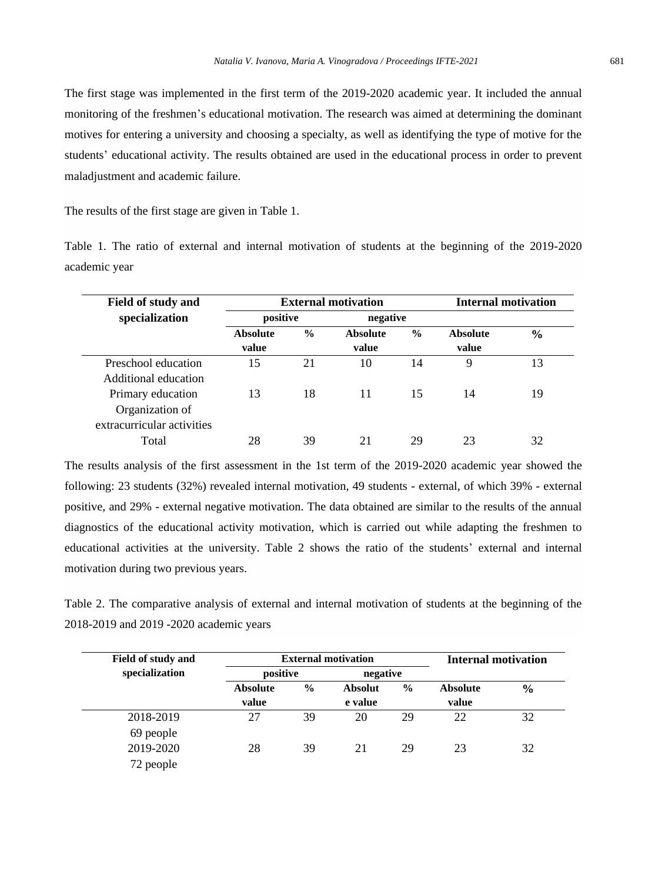The first stage was implemented in the first term of the 2019-2020 academic year. It included the annual monitoring of the freshmen's educational motivation. The research was aimed at determining the dominant motives for entering a university and choosing a specialty, as well as identifying the type of motive for the students' educational activity. The results obtained are used in the educational process in order to prevent maladjustment and academic failure.

The results of the first stage are given in Table 1.

Table 1. The ratio of external and internal motivation of students at the beginning of the 2019-2020 academic year

| Field of study and         |                      | <b>External motivation</b>       | <b>Internal motivation</b> |               |                 |               |
|----------------------------|----------------------|----------------------------------|----------------------------|---------------|-----------------|---------------|
| specialization             | positive<br>negative |                                  |                            |               |                 |               |
|                            | <b>Absolute</b>      | $\frac{0}{0}$<br><b>Absolute</b> |                            | $\frac{6}{9}$ | <b>Absolute</b> | $\frac{6}{9}$ |
|                            | value                |                                  | value                      |               | value           |               |
| Preschool education        | 15                   | 21                               | 10                         | 14            | 9               | 13            |
| Additional education       |                      |                                  |                            |               |                 |               |
| Primary education          | 13                   | 18                               | 11                         | 15            | 14              | 19            |
| Organization of            |                      |                                  |                            |               |                 |               |
| extracurricular activities |                      |                                  |                            |               |                 |               |
| Total                      | 28                   | 39                               | 21                         | 29            | 23              | 32            |

The results analysis of the first assessment in the 1st term of the 2019-2020 academic year showed the following: 23 students (32%) revealed internal motivation, 49 students - external, of which 39% - external positive, and 29% - external negative motivation. The data obtained are similar to the results of the annual diagnostics of the educational activity motivation, which is carried out while adapting the freshmen to educational activities at the university. Table 2 shows the ratio of the students' external and internal motivation during two previous years.

Table 2. The comparative analysis of external and internal motivation of students at the beginning of the 2018-2019 and 2019 -2020 academic years

| <b>Field of study and</b> |                          | <b>External motivation</b> | <b>Internal motivation</b> |               |                          |               |
|---------------------------|--------------------------|----------------------------|----------------------------|---------------|--------------------------|---------------|
| specialization            | positive<br>negative     |                            |                            |               |                          |               |
|                           | <b>Absolute</b><br>value | $\frac{6}{9}$              | <b>Absolut</b><br>e value  | $\frac{6}{9}$ | <b>Absolute</b><br>value | $\frac{0}{0}$ |
| 2018-2019                 | 27                       | 39                         | 20                         | 29            | 22                       | 32            |
| 69 people<br>2019-2020    | 28                       | 39                         | 21                         | 29            | 23                       | 32            |
| 72 people                 |                          |                            |                            |               |                          |               |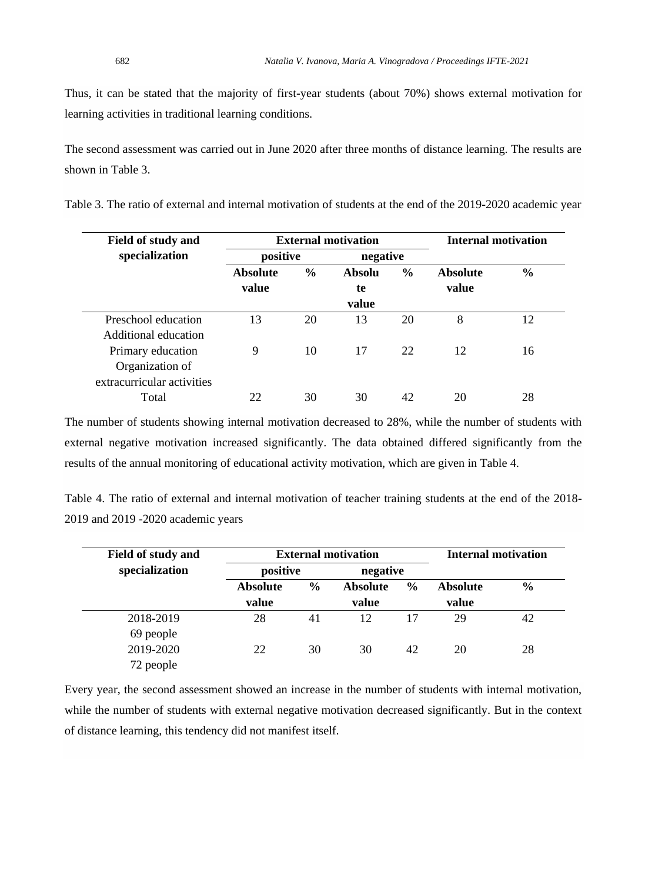Thus, it can be stated that the majority of first-year students (about 70%) shows external motivation for learning activities in traditional learning conditions.

The second assessment was carried out in June 2020 after three months of distance learning. The results are shown in Table 3.

Table 3. The ratio of external and internal motivation of students at the end of the 2019-2020 academic year

| <b>Field of study and</b>  |                 | <b>External motivation</b> | <b>Internal motivation</b> |               |          |               |  |
|----------------------------|-----------------|----------------------------|----------------------------|---------------|----------|---------------|--|
| specialization             | positive        |                            | negative                   |               |          |               |  |
|                            | <b>Absolute</b> | $\frac{6}{6}$              | Absolu                     | $\frac{6}{9}$ | Absolute | $\frac{6}{6}$ |  |
|                            | value           |                            | te                         |               | value    |               |  |
|                            |                 |                            | value                      |               |          |               |  |
| Preschool education        | 13              | 20                         | 13                         | 20            | 8        | 12            |  |
| Additional education       |                 |                            |                            |               |          |               |  |
| Primary education          | 9               | 10                         | 17                         | 22            | 12       | 16            |  |
| Organization of            |                 |                            |                            |               |          |               |  |
| extracurricular activities |                 |                            |                            |               |          |               |  |
| Total                      | 22              | 30                         | 30                         | 42            | 20       | 28            |  |

The number of students showing internal motivation decreased to 28%, while the number of students with external negative motivation increased significantly. The data obtained differed significantly from the results of the annual monitoring of educational activity motivation, which are given in Table 4.

Table 4. The ratio of external and internal motivation of teacher training students at the end of the 2018- 2019 and 2019 -2020 academic years

| <b>Field of study and</b> |                          | <b>External motivation</b> | <b>Internal motivation</b> |               |                          |               |
|---------------------------|--------------------------|----------------------------|----------------------------|---------------|--------------------------|---------------|
| specialization            | positive<br>negative     |                            |                            |               |                          |               |
|                           | <b>Absolute</b><br>value | $\frac{6}{9}$              | <b>Absolute</b><br>value   | $\frac{6}{9}$ | <b>Absolute</b><br>value | $\frac{6}{6}$ |
| 2018-2019                 | 28                       | 41                         | 12                         | 17            | 29                       | 42            |
| 69 people                 |                          |                            |                            |               |                          |               |
| 2019-2020                 | 22                       | 30                         | 30                         | 42            | 20                       | 28            |
| 72 people                 |                          |                            |                            |               |                          |               |

Every year, the second assessment showed an increase in the number of students with internal motivation, while the number of students with external negative motivation decreased significantly. But in the context of distance learning, this tendency did not manifest itself.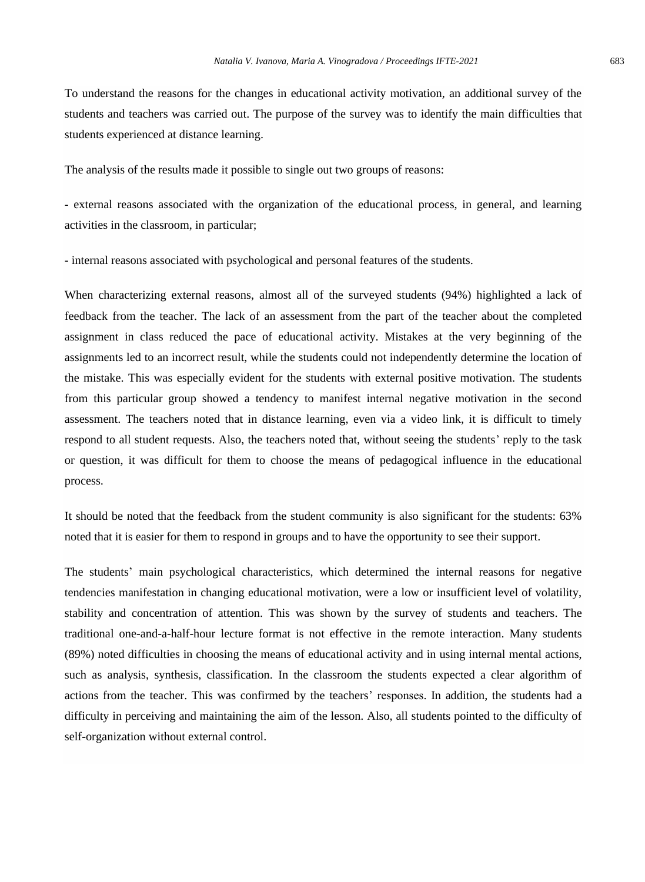To understand the reasons for the changes in educational activity motivation, an additional survey of the students and teachers was carried out. The purpose of the survey was to identify the main difficulties that students experienced at distance learning.

The analysis of the results made it possible to single out two groups of reasons:

- external reasons associated with the organization of the educational process, in general, and learning activities in the classroom, in particular;

- internal reasons associated with psychological and personal features of the students.

When characterizing external reasons, almost all of the surveyed students (94%) highlighted a lack of feedback from the teacher. The lack of an assessment from the part of the teacher about the completed assignment in class reduced the pace of educational activity. Mistakes at the very beginning of the assignments led to an incorrect result, while the students could not independently determine the location of the mistake. This was especially evident for the students with external positive motivation. The students from this particular group showed a tendency to manifest internal negative motivation in the second assessment. The teachers noted that in distance learning, even via a video link, it is difficult to timely respond to all student requests. Also, the teachers noted that, without seeing the students' reply to the task or question, it was difficult for them to choose the means of pedagogical influence in the educational process.

It should be noted that the feedback from the student community is also significant for the students: 63% noted that it is easier for them to respond in groups and to have the opportunity to see their support.

The students' main psychological characteristics, which determined the internal reasons for negative tendencies manifestation in changing educational motivation, were a low or insufficient level of volatility, stability and concentration of attention. This was shown by the survey of students and teachers. The traditional one-and-a-half-hour lecture format is not effective in the remote interaction. Many students (89%) noted difficulties in choosing the means of educational activity and in using internal mental actions, such as analysis, synthesis, classification. In the classroom the students expected a clear algorithm of actions from the teacher. This was confirmed by the teachers' responses. In addition, the students had a difficulty in perceiving and maintaining the aim of the lesson. Also, all students pointed to the difficulty of self-organization without external control.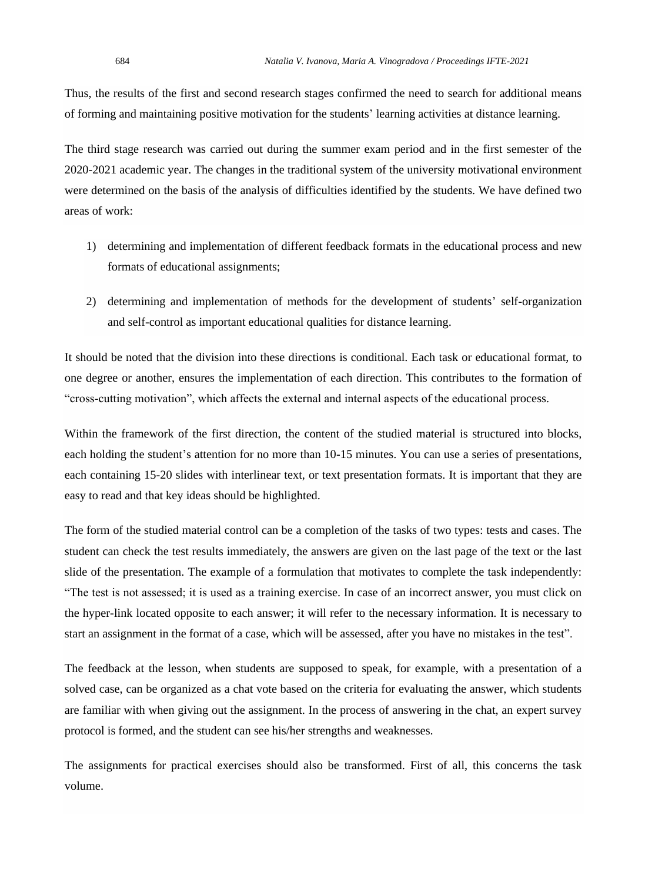Thus, the results of the first and second research stages confirmed the need to search for additional means of forming and maintaining positive motivation for the students' learning activities at distance learning.

The third stage research was carried out during the summer exam period and in the first semester of the 2020-2021 academic year. The changes in the traditional system of the university motivational environment were determined on the basis of the analysis of difficulties identified by the students. We have defined two areas of work:

- 1) determining and implementation of different feedback formats in the educational process and new formats of educational assignments;
- 2) determining and implementation of methods for the development of students' self-organization and self-control as important educational qualities for distance learning.

It should be noted that the division into these directions is conditional. Each task or educational format, to one degree or another, ensures the implementation of each direction. This contributes to the formation of "cross-cutting motivation", which affects the external and internal aspects of the educational process.

Within the framework of the first direction, the content of the studied material is structured into blocks, each holding the student's attention for no more than 10-15 minutes. You can use a series of presentations, each containing 15-20 slides with interlinear text, or text presentation formats. It is important that they are easy to read and that key ideas should be highlighted.

The form of the studied material control can be a completion of the tasks of two types: tests and cases. The student can check the test results immediately, the answers are given on the last page of the text or the last slide of the presentation. The example of a formulation that motivates to complete the task independently: "The test is not assessed; it is used as a training exercise. In case of an incorrect answer, you must click on the hyper-link located opposite to each answer; it will refer to the necessary information. It is necessary to start an assignment in the format of a case, which will be assessed, after you have no mistakes in the test".

The feedback at the lesson, when students are supposed to speak, for example, with a presentation of a solved case, can be organized as a chat vote based on the criteria for evaluating the answer, which students are familiar with when giving out the assignment. In the process of answering in the chat, an expert survey protocol is formed, and the student can see his/her strengths and weaknesses.

The assignments for practical exercises should also be transformed. First of all, this concerns the task volume.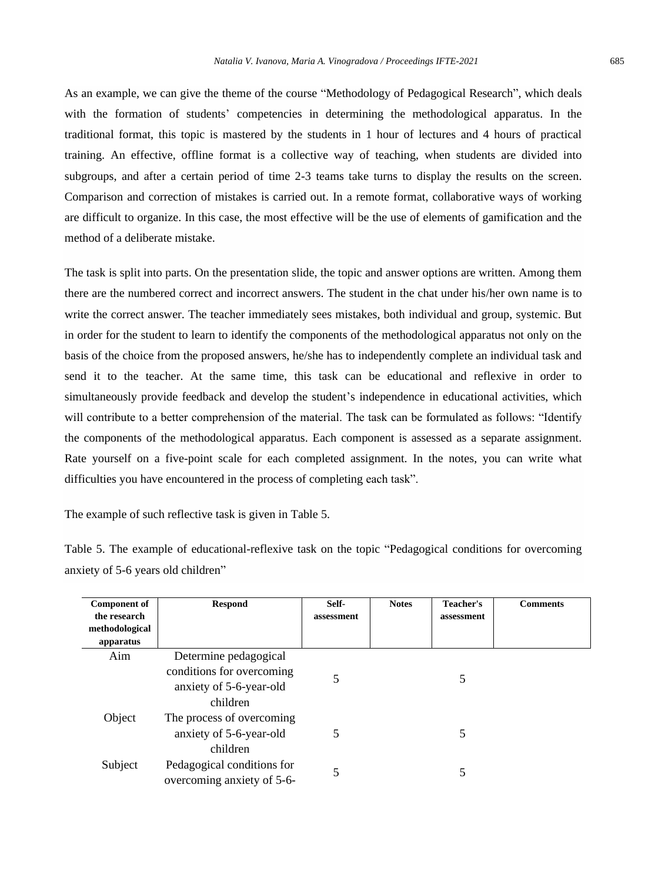As an example, we can give the theme of the course "Methodology of Pedagogical Research", which deals with the formation of students' competencies in determining the methodological apparatus. In the traditional format, this topic is mastered by the students in 1 hour of lectures and 4 hours of practical training. An effective, offline format is a collective way of teaching, when students are divided into subgroups, and after a certain period of time 2-3 teams take turns to display the results on the screen. Comparison and correction of mistakes is carried out. In a remote format, collaborative ways of working are difficult to organize. In this case, the most effective will be the use of elements of gamification and the method of a deliberate mistake.

The task is split into parts. On the presentation slide, the topic and answer options are written. Among them there are the numbered correct and incorrect answers. The student in the chat under his/her own name is to write the correct answer. The teacher immediately sees mistakes, both individual and group, systemic. But in order for the student to learn to identify the components of the methodological apparatus not only on the basis of the choice from the proposed answers, he/she has to independently complete an individual task and send it to the teacher. At the same time, this task can be educational and reflexive in order to simultaneously provide feedback and develop the student's independence in educational activities, which will contribute to a better comprehension of the material. The task can be formulated as follows: "Identify the components of the methodological apparatus. Each component is assessed as a separate assignment. Rate yourself on a five-point scale for each completed assignment. In the notes, you can write what difficulties you have encountered in the process of completing each task".

The example of such reflective task is given in Table 5.

Table 5. The example of educational-reflexive task on the topic "Pedagogical conditions for overcoming anxiety of 5-6 years old children"

| <b>Component of</b>            | <b>Respond</b>             | Self-      | <b>Notes</b> | Teacher's  | <b>Comments</b> |
|--------------------------------|----------------------------|------------|--------------|------------|-----------------|
| the research<br>methodological |                            | assessment |              | assessment |                 |
| apparatus                      |                            |            |              |            |                 |
| Aim                            | Determine pedagogical      |            |              |            |                 |
|                                | conditions for overcoming  | 5          |              | 5          |                 |
|                                | anxiety of 5-6-year-old    |            |              |            |                 |
|                                | children                   |            |              |            |                 |
| Object                         | The process of overcoming  |            |              |            |                 |
|                                | anxiety of 5-6-year-old    | 5          |              | 5          |                 |
|                                | children                   |            |              |            |                 |
| Subject                        | Pedagogical conditions for | 5          |              | 5          |                 |
|                                | overcoming anxiety of 5-6- |            |              |            |                 |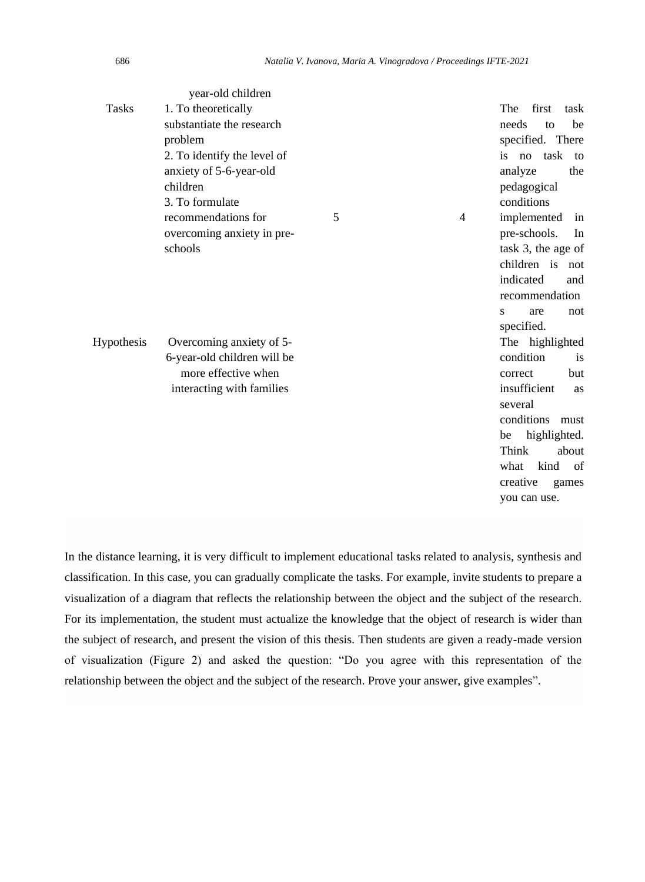|              | year-old children           |   |   |                     |
|--------------|-----------------------------|---|---|---------------------|
| <b>Tasks</b> | 1. To theoretically         |   |   | The first<br>task   |
|              | substantiate the research   |   |   | needs<br>be<br>to   |
|              | problem                     |   |   | specified. There    |
|              | 2. To identify the level of |   |   | task<br>is no<br>to |
|              | anxiety of 5-6-year-old     |   |   | analyze<br>the      |
|              | children                    |   |   | pedagogical         |
|              | 3. To formulate             |   |   | conditions          |
|              | recommendations for         | 5 | 4 | implemented<br>in   |
|              | overcoming anxiety in pre-  |   |   | pre-schools.<br>In  |
|              | schools                     |   |   | task 3, the age of  |
|              |                             |   |   | children is not     |
|              |                             |   |   | indicated<br>and    |
|              |                             |   |   | recommendation      |
|              |                             |   |   | S<br>are<br>not     |
|              |                             |   |   | specified.          |
| Hypothesis   | Overcoming anxiety of 5-    |   |   | The highlighted     |
|              | 6-year-old children will be |   |   | condition<br>is     |
|              | more effective when         |   |   | but<br>correct      |
|              | interacting with families   |   |   | insufficient<br>as  |
|              |                             |   |   | several             |
|              |                             |   |   | conditions must     |
|              |                             |   |   | highlighted.<br>be  |
|              |                             |   |   | Think<br>about      |
|              |                             |   |   | kind<br>what<br>of  |
|              |                             |   |   | creative<br>games   |
|              |                             |   |   | you can use.        |

In the distance learning, it is very difficult to implement educational tasks related to analysis, synthesis and classification. In this case, you can gradually complicate the tasks. For example, invite students to prepare a visualization of a diagram that reflects the relationship between the object and the subject of the research. For its implementation, the student must actualize the knowledge that the object of research is wider than the subject of research, and present the vision of this thesis. Then students are given a ready-made version of visualization (Figure 2) and asked the question: "Do you agree with this representation of the relationship between the object and the subject of the research. Prove your answer, give examples".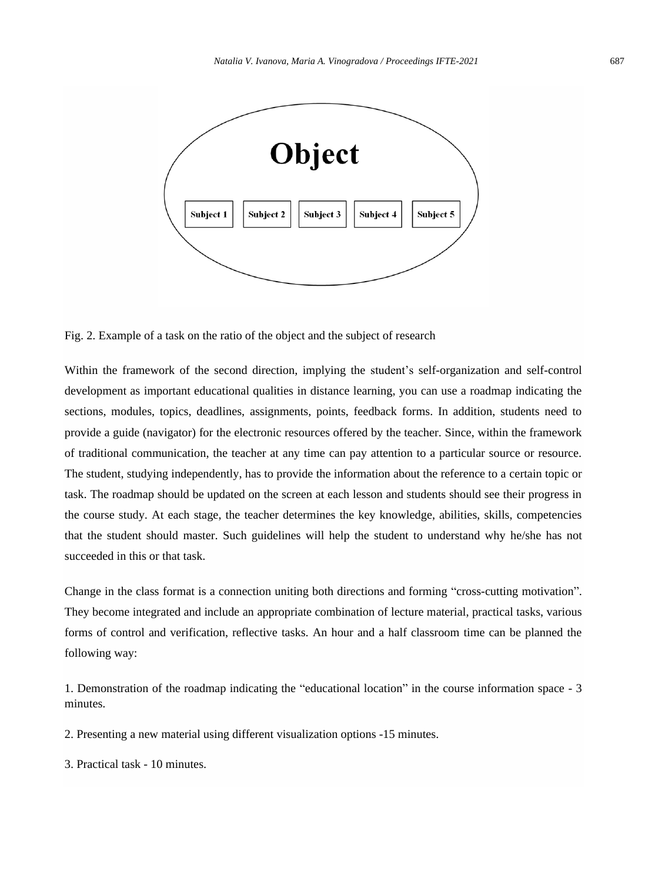

Fig. 2. Example of a task on the ratio of the object and the subject of research

Within the framework of the second direction, implying the student's self-organization and self-control development as important educational qualities in distance learning, you can use a roadmap indicating the sections, modules, topics, deadlines, assignments, points, feedback forms. In addition, students need to provide a guide (navigator) for the electronic resources offered by the teacher. Since, within the framework of traditional communication, the teacher at any time can pay attention to a particular source or resource. The student, studying independently, has to provide the information about the reference to a certain topic or task. The roadmap should be updated on the screen at each lesson and students should see their progress in the course study. At each stage, the teacher determines the key knowledge, abilities, skills, competencies that the student should master. Such guidelines will help the student to understand why he/she has not succeeded in this or that task.

Change in the class format is a connection uniting both directions and forming "cross-cutting motivation". They become integrated and include an appropriate combination of lecture material, practical tasks, various forms of control and verification, reflective tasks. An hour and a half classroom time can be planned the following way:

1. Demonstration of the roadmap indicating the "educational location" in the course information space - 3 minutes.

2. Presenting a new material using different visualization options -15 minutes.

3. Practical task - 10 minutes.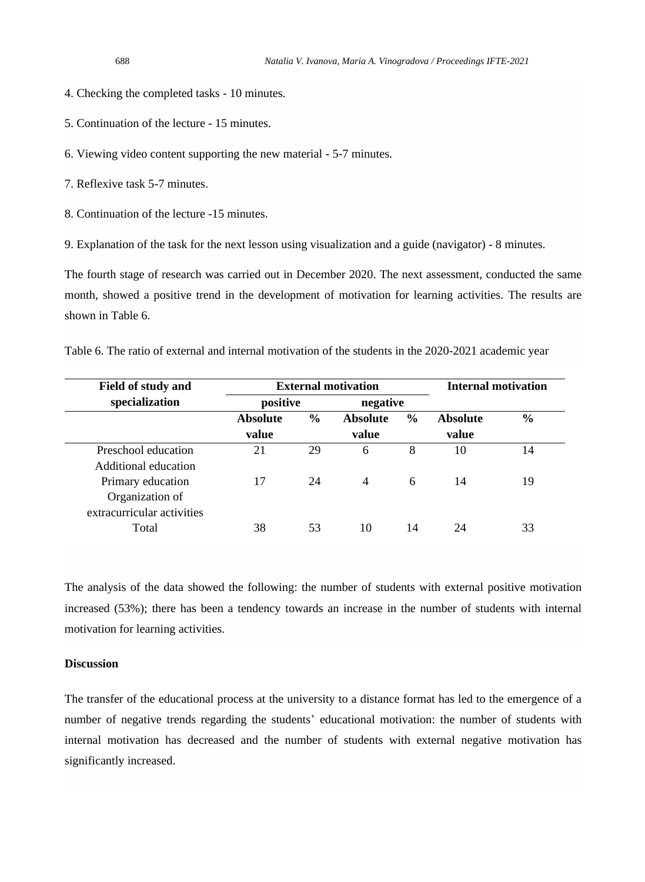4. Checking the completed tasks - 10 minutes.

5. Continuation of the lecture - 15 minutes.

6. Viewing video content supporting the new material - 5-7 minutes.

7. Reflexive task 5-7 minutes.

8. Continuation of the lecture -15 minutes.

9. Explanation of the task for the next lesson using visualization and a guide (navigator) - 8 minutes.

The fourth stage of research was carried out in December 2020. The next assessment, conducted the same month, showed a positive trend in the development of motivation for learning activities. The results are shown in Table 6.

Table 6. The ratio of external and internal motivation of the students in the 2020-2021 academic year

| Field of study and         |                 | <b>External motivation</b> | <b>Internal motivation</b> |               |                 |               |
|----------------------------|-----------------|----------------------------|----------------------------|---------------|-----------------|---------------|
| specialization             | positive        |                            | negative                   |               |                 |               |
|                            | <b>Absolute</b> | $\frac{6}{6}$              | <b>Absolute</b>            | $\frac{6}{9}$ | <b>Absolute</b> | $\frac{6}{6}$ |
|                            | value           |                            | value                      |               | value           |               |
| Preschool education        | 21              | 29                         | 6                          | 8             | 10              | 14            |
| Additional education       |                 |                            |                            |               |                 |               |
| Primary education          | 17              | 24                         | 4                          | 6             | 14              | 19            |
| Organization of            |                 |                            |                            |               |                 |               |
| extracurricular activities |                 |                            |                            |               |                 |               |
| Total                      | 38              | 53                         | 10                         | 14            | 24              | 33            |

The analysis of the data showed the following: the number of students with external positive motivation increased (53%); there has been a tendency towards an increase in the number of students with internal motivation for learning activities.

#### **Discussion**

The transfer of the educational process at the university to a distance format has led to the emergence of a number of negative trends regarding the students' educational motivation: the number of students with internal motivation has decreased and the number of students with external negative motivation has significantly increased.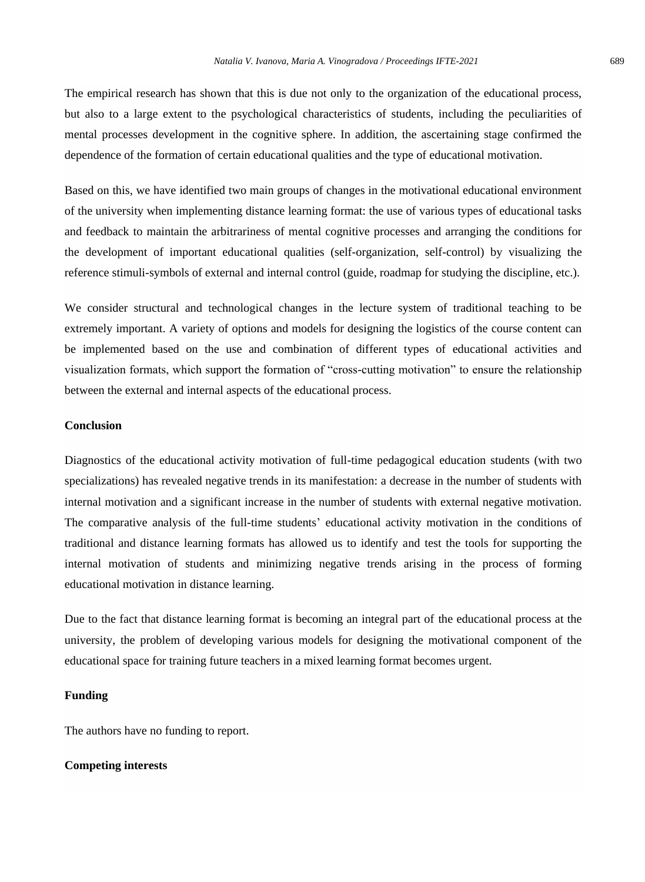The empirical research has shown that this is due not only to the organization of the educational process, but also to a large extent to the psychological characteristics of students, including the peculiarities of mental processes development in the cognitive sphere. In addition, the ascertaining stage confirmed the dependence of the formation of certain educational qualities and the type of educational motivation.

Based on this, we have identified two main groups of changes in the motivational educational environment of the university when implementing distance learning format: the use of various types of educational tasks and feedback to maintain the arbitrariness of mental cognitive processes and arranging the conditions for the development of important educational qualities (self-organization, self-control) by visualizing the reference stimuli-symbols of external and internal control (guide, roadmap for studying the discipline, etc.).

We consider structural and technological changes in the lecture system of traditional teaching to be extremely important. A variety of options and models for designing the logistics of the course content can be implemented based on the use and combination of different types of educational activities and visualization formats, which support the formation of "cross-cutting motivation" to ensure the relationship between the external and internal aspects of the educational process.

#### **Conclusion**

Diagnostics of the educational activity motivation of full-time pedagogical education students (with two specializations) has revealed negative trends in its manifestation: a decrease in the number of students with internal motivation and a significant increase in the number of students with external negative motivation. The comparative analysis of the full-time students' educational activity motivation in the conditions of traditional and distance learning formats has allowed us to identify and test the tools for supporting the internal motivation of students and minimizing negative trends arising in the process of forming educational motivation in distance learning.

Due to the fact that distance learning format is becoming an integral part of the educational process at the university, the problem of developing various models for designing the motivational component of the educational space for training future teachers in a mixed learning format becomes urgent.

#### **Funding**

The authors have no funding to report.

# **Competing interests**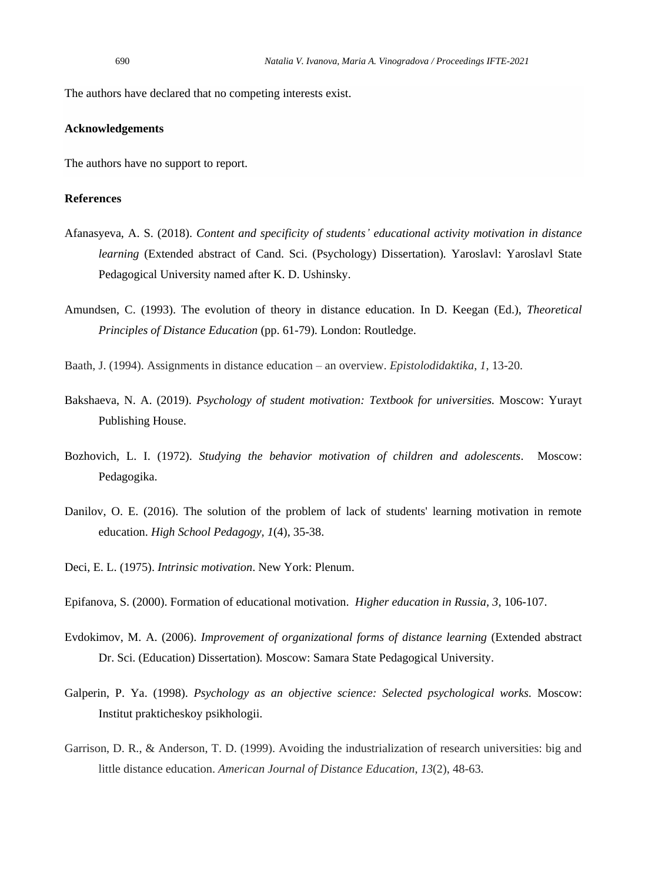The authors have declared that no competing interests exist.

# **Acknowledgements**

The authors have no support to report.

# **References**

- Afanasyeva, A. S. (2018). *Content and specificity of students' educational activity motivation in distance learning* (Extended abstract of Cand. Sci. (Psychology) Dissertation)*.* Yaroslavl: Yaroslavl State Pedagogical University named after K. D. Ushinsky.
- Amundsen, C. (1993). The evolution of theory in distance education. In D. Keegan (Ed.), *Theoretical Principles of Distance Education* (pp. 61-79). London: Routledge.
- Baath, J. (1994). Assignments in distance education an overview. *Epistolodidaktika*, *1*, 13-20.
- Bakshaeva, N. A. (2019). *Psychology of student motivation: Textbook for universities.* Moscow: Yurayt Publishing House.
- Bozhovich, L. I. (1972). *Studying the behavior motivation of children and adolescents*. Moscow: Pedagogika.
- Danilov, O. E. (2016). The solution of the problem of lack of students' learning motivation in remote education. *High School Pedagogy, 1*(4), 35-38.
- Deci, E. L. (1975). *Intrinsic motivation*. New York: Plenum.
- Epifanova, S. (2000). Formation of educational motivation. *Higher education in Russia, 3*, 106-107.
- Evdokimov, M. A. (2006). *Improvement of organizational forms of distance learning* (Extended abstract Dr. Sci. (Education) Dissertation)*.* Moscow: Samara State Pedagogical University.
- Galperin, P. Ya. (1998). *Psychology as an objective science: Selected psychological works.* Moscow: Institut prakticheskoy psikhologii.
- Garrison, D. R., & Anderson, T. D. (1999). Avoiding the industrialization of research universities: big and little distance education. *American Journal of Distance Education*, *13*(2), 48-63.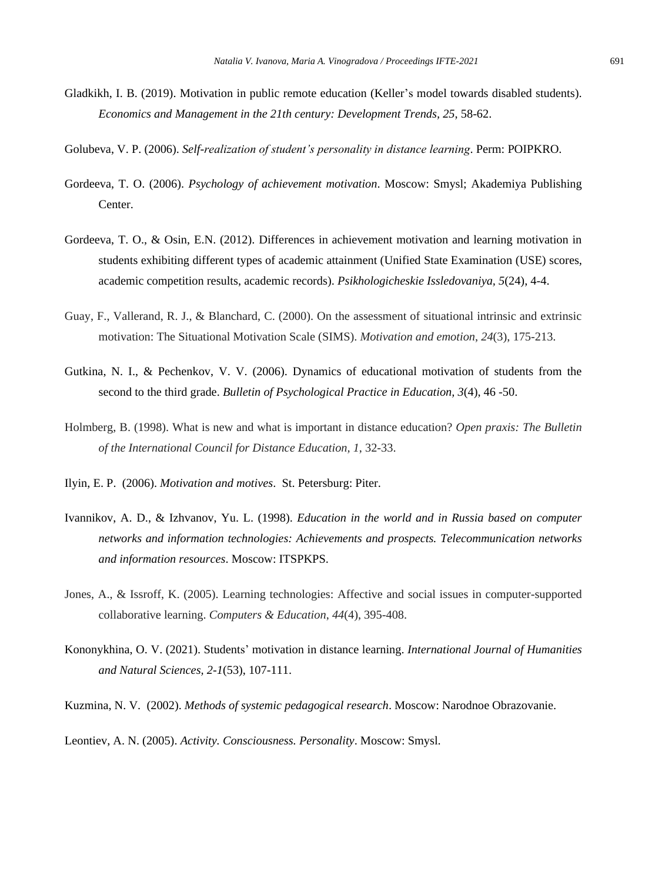- Gladkikh, I. B. (2019). Motivation in public remote education (Keller's model towards disabled students). *Economics and Management in the 21th century: Development Trends, 25*, 58-62.
- Golubeva, V. P. (2006). *Self-realization of student's personality in distance learning*. Perm: POIPKRO.
- Gordeeva, T. O. (2006). *Psychology of achievement motivation*. Moscow: Smysl; Akademiya Publishing Center.
- Gordeeva, T. O., & Osin, E.N. (2012). Differences in achievement motivation and learning motivation in students exhibiting different types of academic attainment (Unified State Examination (USE) scores, academic competition results, academic records). *Psikhologicheskie Issledovaniya, 5*(24), 4-4.
- Guay, F., Vallerand, R. J., & Blanchard, C. (2000). On the assessment of situational intrinsic and extrinsic motivation: The Situational Motivation Scale (SIMS). *Motivation and emotion*, *24*(3), 175-213.
- Gutkina, N. I., & Pechenkov, V. V. (2006). Dynamics of educational motivation of students from the second to the third grade. *Bulletin of Psychological Practice in Education, 3*(4), 46 -50.
- Holmberg, B. (1998). What is new and what is important in distance education? *Open praxis: The Bulletin of the International Council for Distance Education, 1*, 32-33.
- Ilyin, E. P. (2006). *Motivation and motives*. St. Petersburg: Piter.
- Ivannikov, A. D., & Izhvanov, Yu. L. (1998). *Education in the world and in Russia based on computer networks and information technologies: Achievements and prospects. Telecommunication networks and information resources*. Moscow: ITSPKPS.
- Jones, A., & Issroff, K. (2005). Learning technologies: Affective and social issues in computer-supported collaborative learning. *Computers & Education*, *44*(4), 395-408.
- Kononykhina, O. V. (2021). Students' motivation in distance learning. *International Journal of Humanities and Natural Sciences, 2-1*(53), 107-111.
- Kuzmina, N. V. (2002). *Methods of systemic pedagogical research*. Moscow: Narodnoe Obrazovanie.

Leontiev, A. N. (2005). *Activity. Consciousness. Personality*. Moscow: Smysl.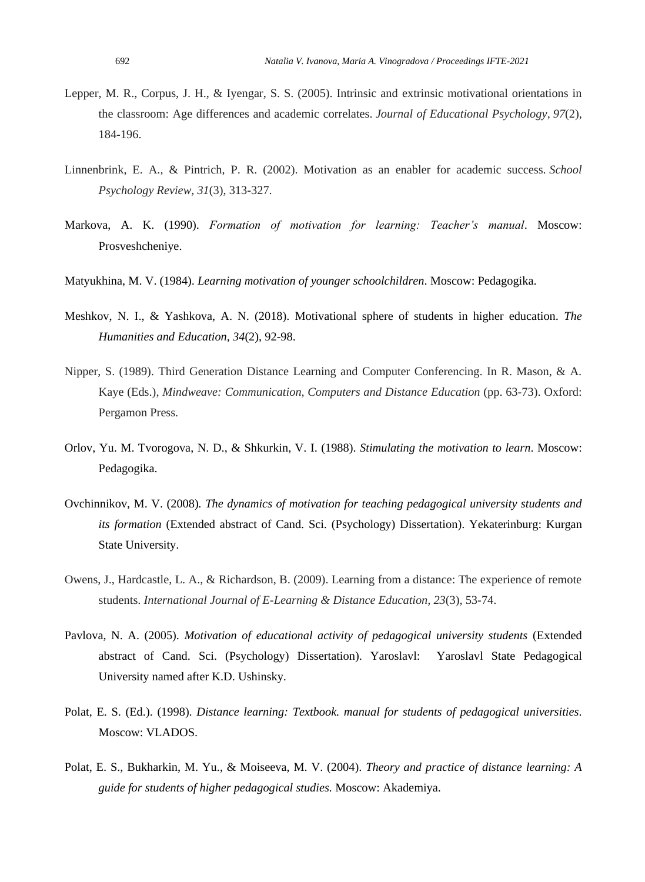- Lepper, M. R., Corpus, J. H., & Iyengar, S. S. (2005). Intrinsic and extrinsic motivational orientations in the classroom: Age differences and academic correlates. *Journal of Educational Psychology*, *97*(2), 184-196.
- Linnenbrink, E. A., & Pintrich, P. R. (2002). Motivation as an enabler for academic success. *School Psychology Review*, *31*(3), 313-327.
- Markova, A. K. (1990). *Formation of motivation for learning: Teacher's manual*. Moscow: Prosveshcheniye.
- Matyukhina, M. V. (1984). *Learning motivation of younger schoolchildren*. Moscow: Pedagogika.
- Meshkov, N. I., & Yashkova, A. N. (2018). Motivational sphere of students in higher education. *The Humanities and Education, 34*(2), 92-98.
- Nipper, S. (1989). Third Generation Distance Learning and Computer Conferencing. In R. Mason, & A. Kaye (Eds.), *Mindweave: Communication, Computers and Distance Education* (pp. 63-73). Oxford: Pergamon Press.
- Orlov, Yu. M. Tvorogova, N. D., & Shkurkin, V. I. (1988). *Stimulating the motivation to learn*. Moscow: Pedagogika.
- Ovchinnikov, M. V. (2008)*. The dynamics of motivation for teaching pedagogical university students and its formation* (Extended abstract of Cand. Sci. (Psychology) Dissertation). Yekaterinburg: Kurgan State University.
- Owens, J., Hardcastle, L. A., & Richardson, B. (2009). Learning from a distance: The experience of remote students. *International Journal of E-Learning & Distance Education, 23*(3), 53-74.
- Pavlova, N. A. (2005). *Motivation of educational activity of pedagogical university students* (Extended abstract of Cand. Sci. (Psychology) Dissertation). Yaroslavl: Yaroslavl State Pedagogical University named after K.D. Ushinsky.
- Polat, E. S. (Ed.). (1998). *Distance learning: Textbook. manual for students of pedagogical universities*. Moscow: VLADOS.
- Polat, E. S., Bukharkin, M. Yu., & Moiseeva, M. V. (2004). *Theory and practice of distance learning: A guide for students of higher pedagogical studies.* Moscow: Akademiya.